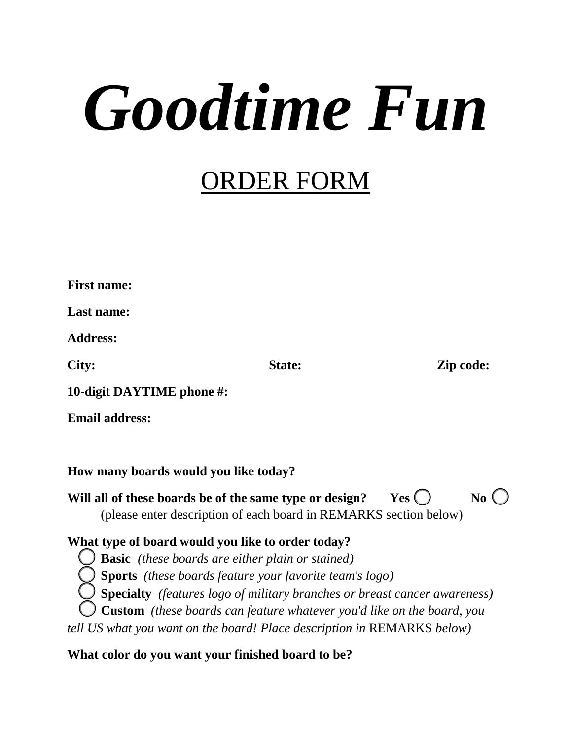## *Goodtime Fun*

## ORDER FORM

| <b>First name:</b>                                                                                                           |                                                                                                                                                                                                                                                                                         |                        |
|------------------------------------------------------------------------------------------------------------------------------|-----------------------------------------------------------------------------------------------------------------------------------------------------------------------------------------------------------------------------------------------------------------------------------------|------------------------|
| Last name:                                                                                                                   |                                                                                                                                                                                                                                                                                         |                        |
| <b>Address:</b>                                                                                                              |                                                                                                                                                                                                                                                                                         |                        |
| City:                                                                                                                        | <b>State:</b>                                                                                                                                                                                                                                                                           | Zip code:              |
| 10-digit DAYTIME phone #:                                                                                                    |                                                                                                                                                                                                                                                                                         |                        |
| <b>Email address:</b>                                                                                                        |                                                                                                                                                                                                                                                                                         |                        |
|                                                                                                                              |                                                                                                                                                                                                                                                                                         |                        |
| How many boards would you like today?                                                                                        |                                                                                                                                                                                                                                                                                         |                        |
| Will all of these boards be of the same type or design?                                                                      | (please enter description of each board in REMARKS section below)                                                                                                                                                                                                                       | Yes(<br>N <sub>0</sub> |
| What type of board would you like to order today?<br>tell US what you want on the board! Place description in REMARKS below) | <b>Basic</b> (these boards are either plain or stained)<br><b>Sports</b> (these boards feature your favorite team's logo)<br><b>Specialty</b> (features logo of military branches or breast cancer awareness)<br>Custom (these boards can feature whatever you'd like on the board, you |                        |
| What color do you want your finished board to be?                                                                            |                                                                                                                                                                                                                                                                                         |                        |